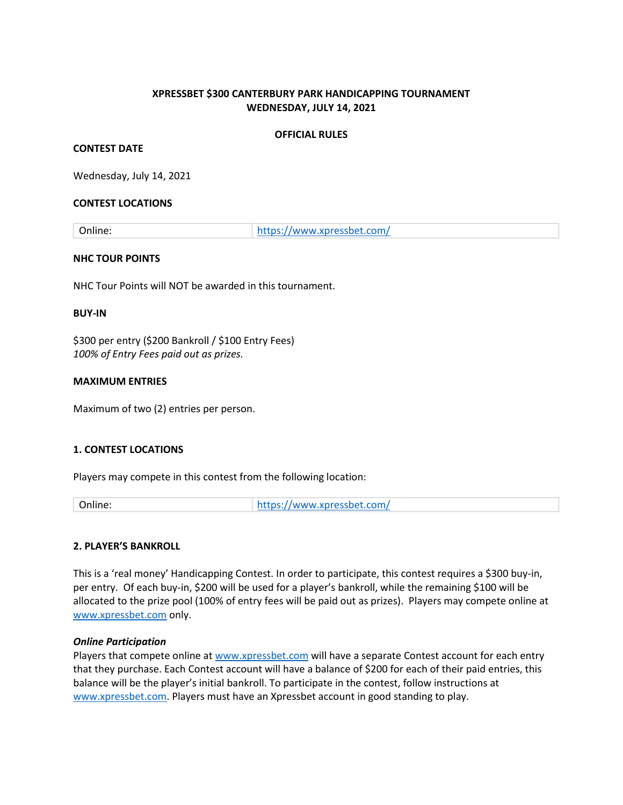## **XPRESSBET \$300 CANTERBURY PARK HANDICAPPING TOURNAMENT WEDNESDAY, JULY 14, 2021**

#### **OFFICIAL RULES**

#### **CONTEST DATE**

Wednesday, July 14, 2021

#### **CONTEST LOCATIONS**

Online: <https://www.xpressbet.com/>

#### **NHC TOUR POINTS**

NHC Tour Points will NOT be awarded in this tournament.

#### **BUY-IN**

\$300 per entry (\$200 Bankroll / \$100 Entry Fees) *100% of Entry Fees paid out as prizes.* 

#### **MAXIMUM ENTRIES**

Maximum of two (2) entries per person.

## **1. CONTEST LOCATIONS**

Players may compete in this contest from the following location:

Online: <https://www.xpressbet.com/>

## **2. PLAYER'S BANKROLL**

This is a 'real money' Handicapping Contest. In order to participate, this contest requires a \$300 buy-in, per entry. Of each buy-in, \$200 will be used for a player's bankroll, while the remaining \$100 will be allocated to the prize pool (100% of entry fees will be paid out as prizes). Players may compete online at [www.xpressbet.com](http://www.xpressbet.com/) only.

#### *Online Participation*

Players that compete online at [www.xpressbet.com](http://www.xpressbet.com/) will have a separate Contest account for each entry that they purchase. Each Contest account will have a balance of \$200 for each of their paid entries, this balance will be the player's initial bankroll. To participate in the contest, follow instructions at [www.xpressbet.com.](http://www.xpressbet.com/) Players must have an Xpressbet account in good standing to play.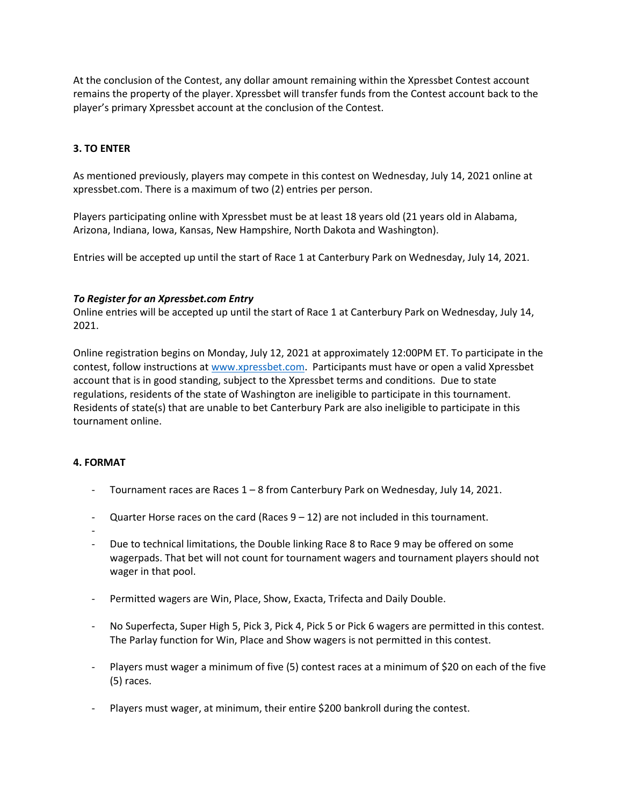At the conclusion of the Contest, any dollar amount remaining within the Xpressbet Contest account remains the property of the player. Xpressbet will transfer funds from the Contest account back to the player's primary Xpressbet account at the conclusion of the Contest.

## **3. TO ENTER**

As mentioned previously, players may compete in this contest on Wednesday, July 14, 2021 online at xpressbet.com. There is a maximum of two (2) entries per person.

Players participating online with Xpressbet must be at least 18 years old (21 years old in Alabama, Arizona, Indiana, Iowa, Kansas, New Hampshire, North Dakota and Washington).

Entries will be accepted up until the start of Race 1 at Canterbury Park on Wednesday, July 14, 2021.

#### *To Register for an Xpressbet.com Entry*

Online entries will be accepted up until the start of Race 1 at Canterbury Park on Wednesday, July 14, 2021.

Online registration begins on Monday, July 12, 2021 at approximately 12:00PM ET. To participate in the contest, follow instructions a[t www.xpressbet.com.](http://www.xpressbet.com/) Participants must have or open a valid Xpressbet account that is in good standing, subject to the Xpressbet terms and conditions. Due to state regulations, residents of the state of Washington are ineligible to participate in this tournament. Residents of state(s) that are unable to bet Canterbury Park are also ineligible to participate in this tournament online.

## **4. FORMAT**

- Tournament races are Races 1 8 from Canterbury Park on Wednesday, July 14, 2021.
- Quarter Horse races on the card (Races  $9 12$ ) are not included in this tournament.
- -
- Due to technical limitations, the Double linking Race 8 to Race 9 may be offered on some wagerpads. That bet will not count for tournament wagers and tournament players should not wager in that pool.
- Permitted wagers are Win, Place, Show, Exacta, Trifecta and Daily Double.
- No Superfecta, Super High 5, Pick 3, Pick 4, Pick 5 or Pick 6 wagers are permitted in this contest. The Parlay function for Win, Place and Show wagers is not permitted in this contest.
- Players must wager a minimum of five (5) contest races at a minimum of \$20 on each of the five (5) races.
- Players must wager, at minimum, their entire \$200 bankroll during the contest.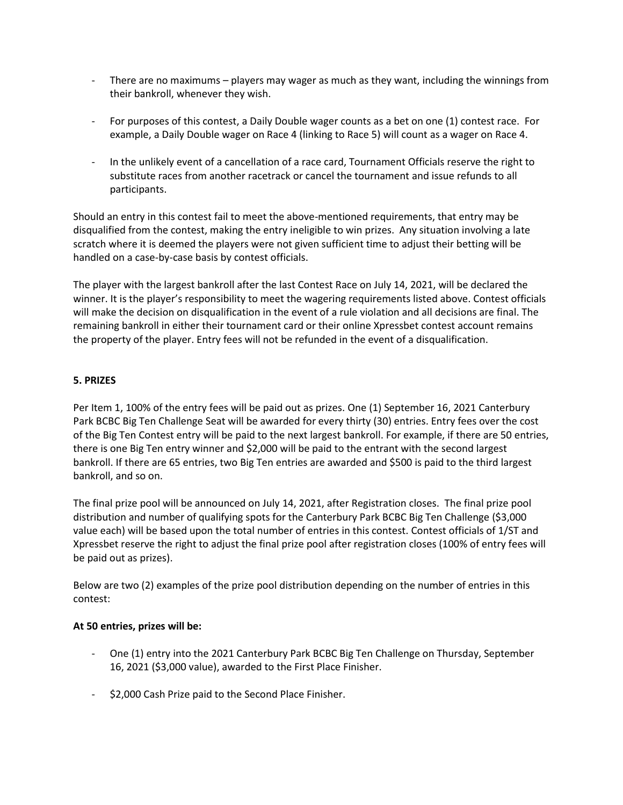- There are no maximums players may wager as much as they want, including the winnings from their bankroll, whenever they wish.
- For purposes of this contest, a Daily Double wager counts as a bet on one (1) contest race. For example, a Daily Double wager on Race 4 (linking to Race 5) will count as a wager on Race 4.
- In the unlikely event of a cancellation of a race card, Tournament Officials reserve the right to substitute races from another racetrack or cancel the tournament and issue refunds to all participants.

Should an entry in this contest fail to meet the above-mentioned requirements, that entry may be disqualified from the contest, making the entry ineligible to win prizes. Any situation involving a late scratch where it is deemed the players were not given sufficient time to adjust their betting will be handled on a case-by-case basis by contest officials.

The player with the largest bankroll after the last Contest Race on July 14, 2021, will be declared the winner. It is the player's responsibility to meet the wagering requirements listed above. Contest officials will make the decision on disqualification in the event of a rule violation and all decisions are final. The remaining bankroll in either their tournament card or their online Xpressbet contest account remains the property of the player. Entry fees will not be refunded in the event of a disqualification.

## **5. PRIZES**

Per Item 1, 100% of the entry fees will be paid out as prizes. One (1) September 16, 2021 Canterbury Park BCBC Big Ten Challenge Seat will be awarded for every thirty (30) entries. Entry fees over the cost of the Big Ten Contest entry will be paid to the next largest bankroll. For example, if there are 50 entries, there is one Big Ten entry winner and \$2,000 will be paid to the entrant with the second largest bankroll. If there are 65 entries, two Big Ten entries are awarded and \$500 is paid to the third largest bankroll, and so on.

The final prize pool will be announced on July 14, 2021, after Registration closes. The final prize pool distribution and number of qualifying spots for the Canterbury Park BCBC Big Ten Challenge (\$3,000 value each) will be based upon the total number of entries in this contest. Contest officials of 1/ST and Xpressbet reserve the right to adjust the final prize pool after registration closes (100% of entry fees will be paid out as prizes).

Below are two (2) examples of the prize pool distribution depending on the number of entries in this contest:

## **At 50 entries, prizes will be:**

- One (1) entry into the 2021 Canterbury Park BCBC Big Ten Challenge on Thursday, September 16, 2021 (\$3,000 value), awarded to the First Place Finisher.
- \$2,000 Cash Prize paid to the Second Place Finisher.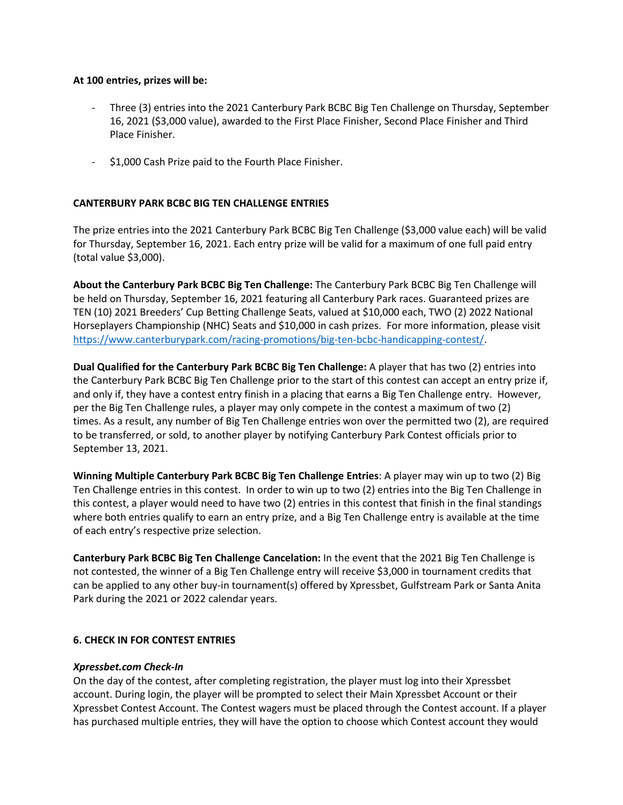#### **At 100 entries, prizes will be:**

- Three (3) entries into the 2021 Canterbury Park BCBC Big Ten Challenge on Thursday, September 16, 2021 (\$3,000 value), awarded to the First Place Finisher, Second Place Finisher and Third Place Finisher.
- \$1,000 Cash Prize paid to the Fourth Place Finisher.

## **CANTERBURY PARK BCBC BIG TEN CHALLENGE ENTRIES**

The prize entries into the 2021 Canterbury Park BCBC Big Ten Challenge (\$3,000 value each) will be valid for Thursday, September 16, 2021. Each entry prize will be valid for a maximum of one full paid entry (total value \$3,000).

**About the Canterbury Park BCBC Big Ten Challenge:** The Canterbury Park BCBC Big Ten Challenge will be held on Thursday, September 16, 2021 featuring all Canterbury Park races. Guaranteed prizes are TEN (10) 2021 Breeders' Cup Betting Challenge Seats, valued at \$10,000 each, TWO (2) 2022 National Horseplayers Championship (NHC) Seats and \$10,000 in cash prizes. For more information, please visit [https://www.canterburypark.com/racing-promotions/big-ten-bcbc-handicapping-contest/.](https://www.canterburypark.com/racing-promotions/big-ten-bcbc-handicapping-contest/)

**Dual Qualified for the Canterbury Park BCBC Big Ten Challenge:** A player that has two (2) entries into the Canterbury Park BCBC Big Ten Challenge prior to the start of this contest can accept an entry prize if, and only if, they have a contest entry finish in a placing that earns a Big Ten Challenge entry. However, per the Big Ten Challenge rules, a player may only compete in the contest a maximum of two (2) times. As a result, any number of Big Ten Challenge entries won over the permitted two (2), are required to be transferred, or sold, to another player by notifying Canterbury Park Contest officials prior to September 13, 2021.

**Winning Multiple Canterbury Park BCBC Big Ten Challenge Entries**: A player may win up to two (2) Big Ten Challenge entries in this contest. In order to win up to two (2) entries into the Big Ten Challenge in this contest, a player would need to have two (2) entries in this contest that finish in the final standings where both entries qualify to earn an entry prize, and a Big Ten Challenge entry is available at the time of each entry's respective prize selection.

**Canterbury Park BCBC Big Ten Challenge Cancelation:** In the event that the 2021 Big Ten Challenge is not contested, the winner of a Big Ten Challenge entry will receive \$3,000 in tournament credits that can be applied to any other buy-in tournament(s) offered by Xpressbet, Gulfstream Park or Santa Anita Park during the 2021 or 2022 calendar years.

## **6. CHECK IN FOR CONTEST ENTRIES**

#### *Xpressbet.com Check-In*

On the day of the contest, after completing registration, the player must log into their Xpressbet account. During login, the player will be prompted to select their Main Xpressbet Account or their Xpressbet Contest Account. The Contest wagers must be placed through the Contest account. If a player has purchased multiple entries, they will have the option to choose which Contest account they would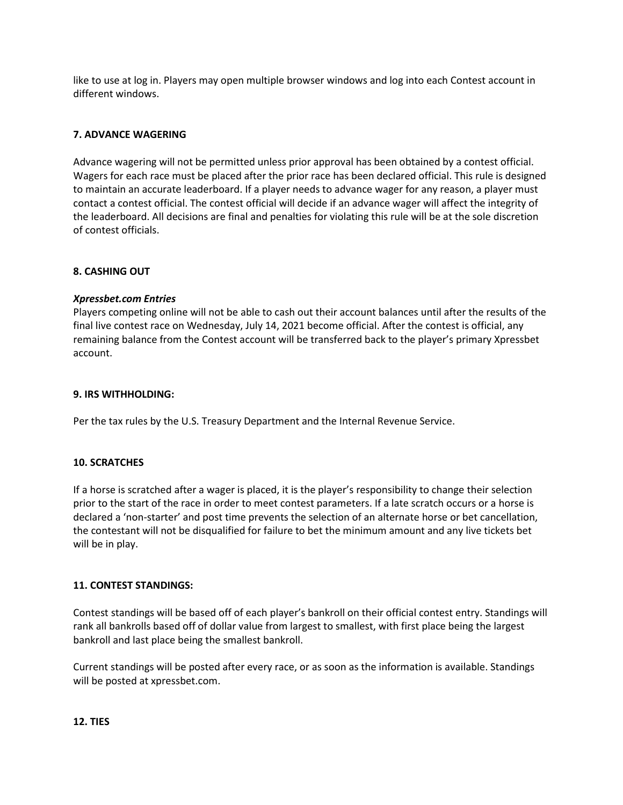like to use at log in. Players may open multiple browser windows and log into each Contest account in different windows.

## **7. ADVANCE WAGERING**

Advance wagering will not be permitted unless prior approval has been obtained by a contest official. Wagers for each race must be placed after the prior race has been declared official. This rule is designed to maintain an accurate leaderboard. If a player needs to advance wager for any reason, a player must contact a contest official. The contest official will decide if an advance wager will affect the integrity of the leaderboard. All decisions are final and penalties for violating this rule will be at the sole discretion of contest officials.

## **8. CASHING OUT**

#### *Xpressbet.com Entries*

Players competing online will not be able to cash out their account balances until after the results of the final live contest race on Wednesday, July 14, 2021 become official. After the contest is official, any remaining balance from the Contest account will be transferred back to the player's primary Xpressbet account.

#### **9. IRS WITHHOLDING:**

Per the tax rules by the U.S. Treasury Department and the Internal Revenue Service.

#### **10. SCRATCHES**

If a horse is scratched after a wager is placed, it is the player's responsibility to change their selection prior to the start of the race in order to meet contest parameters. If a late scratch occurs or a horse is declared a 'non-starter' and post time prevents the selection of an alternate horse or bet cancellation, the contestant will not be disqualified for failure to bet the minimum amount and any live tickets bet will be in play.

## **11. CONTEST STANDINGS:**

Contest standings will be based off of each player's bankroll on their official contest entry. Standings will rank all bankrolls based off of dollar value from largest to smallest, with first place being the largest bankroll and last place being the smallest bankroll.

Current standings will be posted after every race, or as soon as the information is available. Standings will be posted at xpressbet.com.

#### **12. TIES**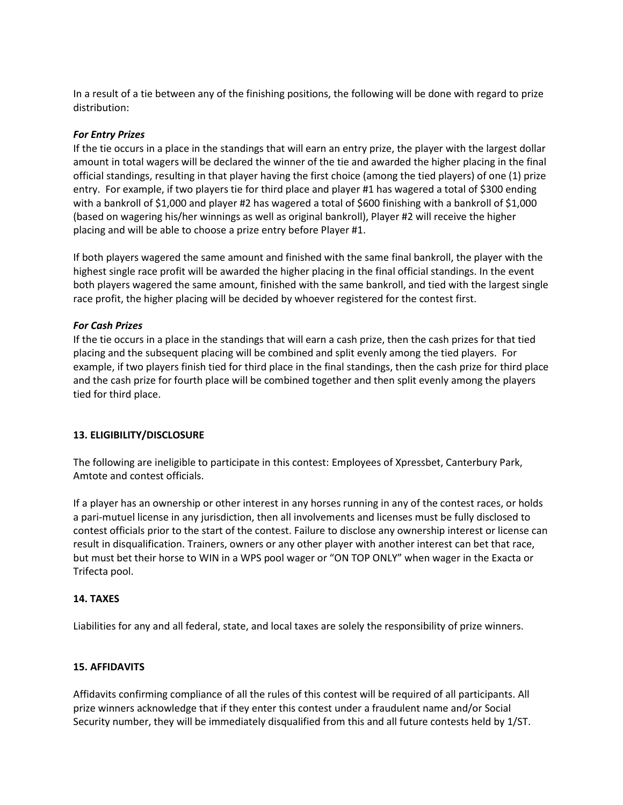In a result of a tie between any of the finishing positions, the following will be done with regard to prize distribution:

## *For Entry Prizes*

If the tie occurs in a place in the standings that will earn an entry prize, the player with the largest dollar amount in total wagers will be declared the winner of the tie and awarded the higher placing in the final official standings, resulting in that player having the first choice (among the tied players) of one (1) prize entry. For example, if two players tie for third place and player #1 has wagered a total of \$300 ending with a bankroll of \$1,000 and player #2 has wagered a total of \$600 finishing with a bankroll of \$1,000 (based on wagering his/her winnings as well as original bankroll), Player #2 will receive the higher placing and will be able to choose a prize entry before Player #1.

If both players wagered the same amount and finished with the same final bankroll, the player with the highest single race profit will be awarded the higher placing in the final official standings. In the event both players wagered the same amount, finished with the same bankroll, and tied with the largest single race profit, the higher placing will be decided by whoever registered for the contest first.

## *For Cash Prizes*

If the tie occurs in a place in the standings that will earn a cash prize, then the cash prizes for that tied placing and the subsequent placing will be combined and split evenly among the tied players. For example, if two players finish tied for third place in the final standings, then the cash prize for third place and the cash prize for fourth place will be combined together and then split evenly among the players tied for third place.

## **13. ELIGIBILITY/DISCLOSURE**

The following are ineligible to participate in this contest: Employees of Xpressbet, Canterbury Park, Amtote and contest officials.

If a player has an ownership or other interest in any horses running in any of the contest races, or holds a pari-mutuel license in any jurisdiction, then all involvements and licenses must be fully disclosed to contest officials prior to the start of the contest. Failure to disclose any ownership interest or license can result in disqualification. Trainers, owners or any other player with another interest can bet that race, but must bet their horse to WIN in a WPS pool wager or "ON TOP ONLY" when wager in the Exacta or Trifecta pool.

## **14. TAXES**

Liabilities for any and all federal, state, and local taxes are solely the responsibility of prize winners.

# **15. AFFIDAVITS**

Affidavits confirming compliance of all the rules of this contest will be required of all participants. All prize winners acknowledge that if they enter this contest under a fraudulent name and/or Social Security number, they will be immediately disqualified from this and all future contests held by 1/ST.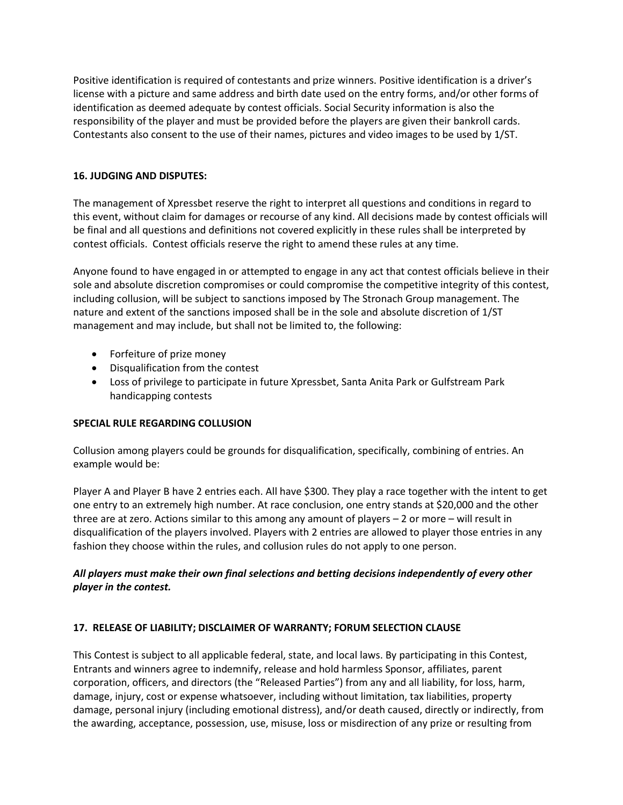Positive identification is required of contestants and prize winners. Positive identification is a driver's license with a picture and same address and birth date used on the entry forms, and/or other forms of identification as deemed adequate by contest officials. Social Security information is also the responsibility of the player and must be provided before the players are given their bankroll cards. Contestants also consent to the use of their names, pictures and video images to be used by 1/ST.

## **16. JUDGING AND DISPUTES:**

The management of Xpressbet reserve the right to interpret all questions and conditions in regard to this event, without claim for damages or recourse of any kind. All decisions made by contest officials will be final and all questions and definitions not covered explicitly in these rules shall be interpreted by contest officials. Contest officials reserve the right to amend these rules at any time.

Anyone found to have engaged in or attempted to engage in any act that contest officials believe in their sole and absolute discretion compromises or could compromise the competitive integrity of this contest, including collusion, will be subject to sanctions imposed by The Stronach Group management. The nature and extent of the sanctions imposed shall be in the sole and absolute discretion of 1/ST management and may include, but shall not be limited to, the following:

- Forfeiture of prize money
- Disqualification from the contest
- Loss of privilege to participate in future Xpressbet, Santa Anita Park or Gulfstream Park handicapping contests

## **SPECIAL RULE REGARDING COLLUSION**

Collusion among players could be grounds for disqualification, specifically, combining of entries. An example would be:

Player A and Player B have 2 entries each. All have \$300. They play a race together with the intent to get one entry to an extremely high number. At race conclusion, one entry stands at \$20,000 and the other three are at zero. Actions similar to this among any amount of players – 2 or more – will result in disqualification of the players involved. Players with 2 entries are allowed to player those entries in any fashion they choose within the rules, and collusion rules do not apply to one person.

# *All players must make their own final selections and betting decisions independently of every other player in the contest.*

# **17. RELEASE OF LIABILITY; DISCLAIMER OF WARRANTY; FORUM SELECTION CLAUSE**

This Contest is subject to all applicable federal, state, and local laws. By participating in this Contest, Entrants and winners agree to indemnify, release and hold harmless Sponsor, affiliates, parent corporation, officers, and directors (the "Released Parties") from any and all liability, for loss, harm, damage, injury, cost or expense whatsoever, including without limitation, tax liabilities, property damage, personal injury (including emotional distress), and/or death caused, directly or indirectly, from the awarding, acceptance, possession, use, misuse, loss or misdirection of any prize or resulting from